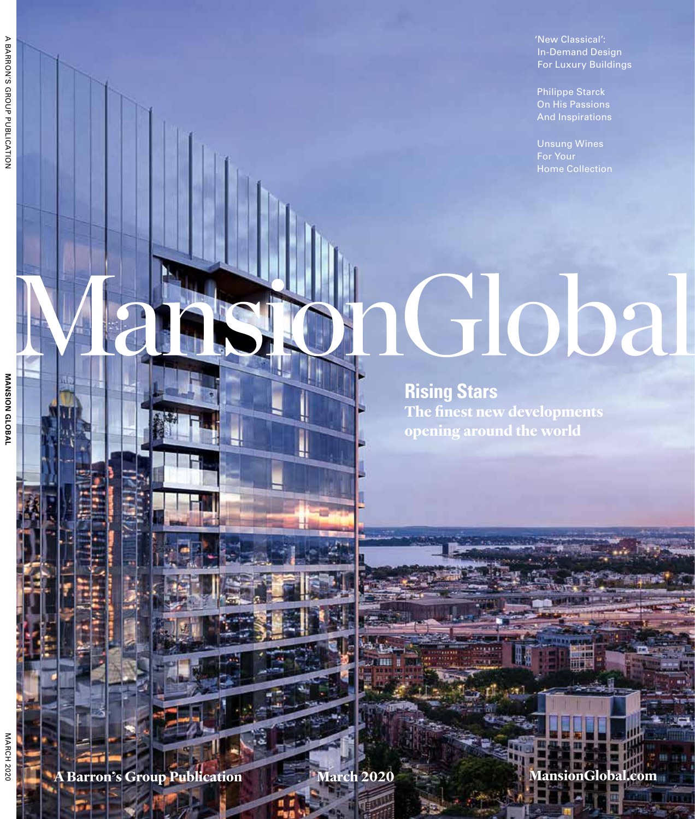'New Classical': In-Demand Design For Luxury Buildings

Philippe Starck On His Passions

Unsung Wines Home Collection

# **Global**

**Rising Stars The finest new developments opening around the world**

**A Barron's Group Publication March 2020 MansionGlobal.com**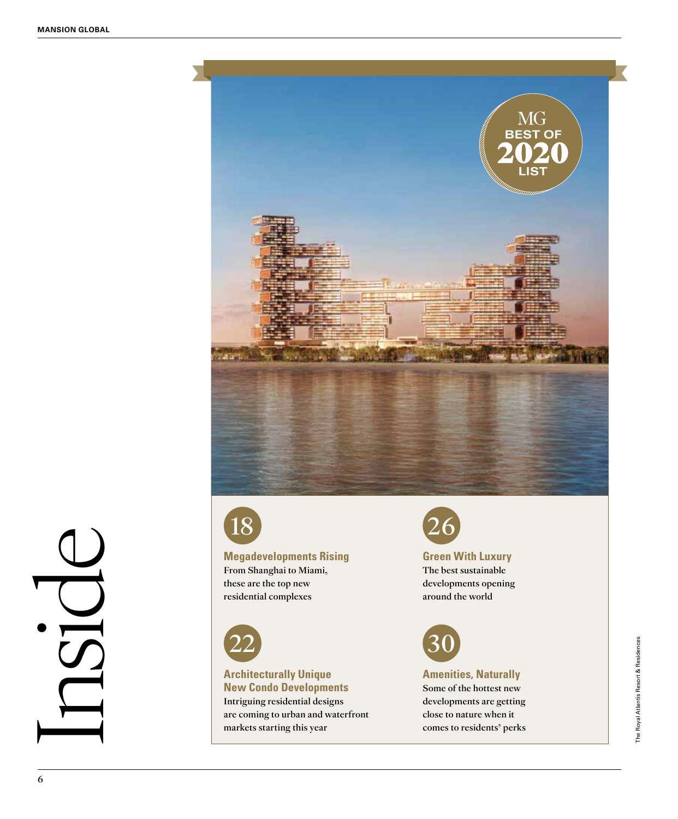

Inside



### **Megadevelopments Rising** From Shanghai to Miami,

these are the top new residential complexes



### **Architecturally Unique New Condo Developments**

Intriguing residential designs are coming to urban and waterfront markets starting this year



### **Green With Luxury**

The best sustainable developments opening around the world



### **Amenities, Naturally** Some of the hottest new developments are getting close to nature when it comes to residents' perks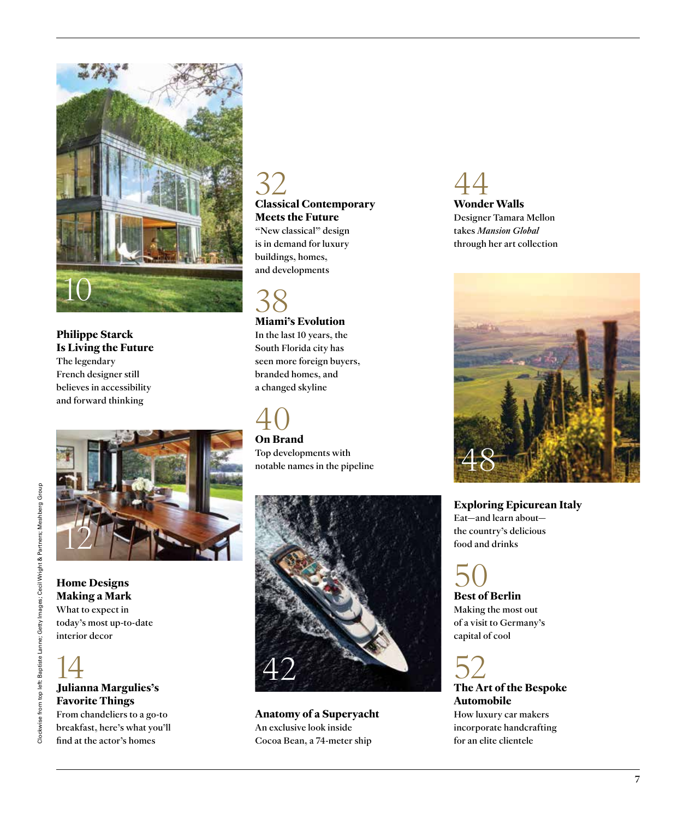

**Philippe Starck Is Living the Future**  The legendary French designer still believes in accessibility and forward thinking



**Home Designs Making a Mark**  What to expect in today's most up-to-date interior decor



### 14 **Julianna Margulies's Favorite Things**

From chandeliers to a go-to breakfast, here's what you'll find at the actor's homes

# 32 **Classical Contemporary**

**Meets the Future** "New classical" design is in demand for luxury buildings, homes, and developments

### 38

### **Miami's Evolution**

In the last 10 years, the South Florida city has seen more foreign buyers, branded homes, and a changed skyline

# 40 **On Brand**

Top developments with notable names in the pipeline



**Anatomy of a Superyacht** An exclusive look inside Cocoa Bean, a 74-meter ship

44 **Wonder Walls** Designer Tamara Mellon takes *Mansion Global* through her art collection



**Exploring Epicurean Italy**  Eat—and learn about the country's delicious food and drinks

50 **Best of Berlin** Making the most out of a visit to Germany's capital of cool

52 **The Art of the Bespoke Automobile** How luxury car makers incorporate handcrafting for an elite clientele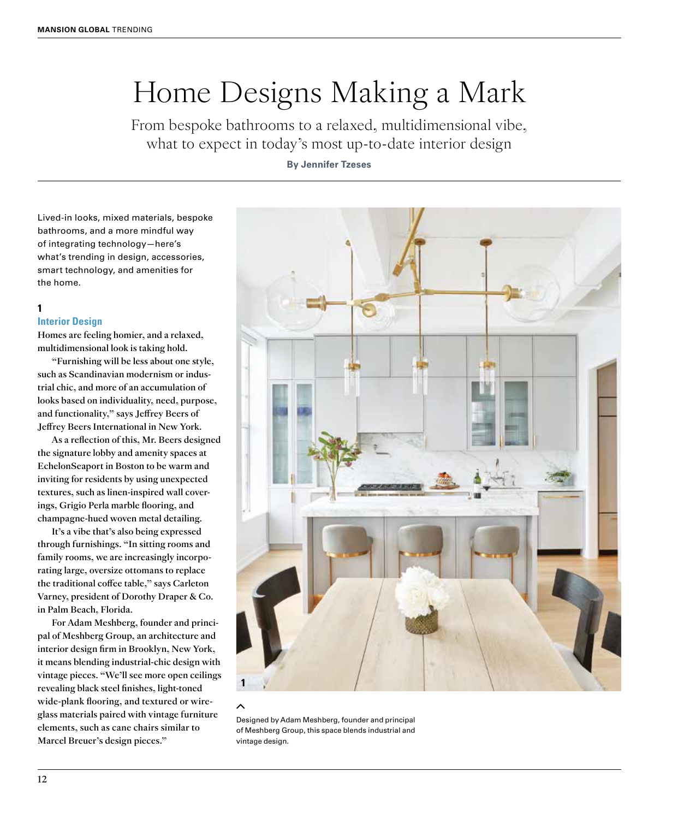### Home Designs Making a Mark

From bespoke bathrooms to a relaxed, multidimensional vibe, what to expect in today's most up-to-date interior design

### **By Jennifer Tzeses**

Lived-in looks, mixed materials, bespoke bathrooms, and a more mindful way of integrating technology—here's what's trending in design, accessories, smart technology, and amenities for the home.

### **1**

#### **Interior Design**

Homes are feeling homier, and a relaxed, multidimensional look is taking hold.

"Furnishing will be less about one style, such as Scandinavian modernism or industrial chic, and more of an accumulation of looks based on individuality, need, purpose, and functionality," says Jeffrey Beers of Jeffrey Beers International in New York.

As a reflection of this, Mr. Beers designed the signature lobby and amenity spaces at EchelonSeaport in Boston to be warm and inviting for residents by using unexpected textures, such as linen-inspired wall coverings, Grigio Perla marble flooring, and champagne-hued woven metal detailing.

It's a vibe that's also being expressed through furnishings. "In sitting rooms and family rooms, we are increasingly incorporating large, oversize ottomans to replace the traditional coffee table," says Carleton Varney, president of Dorothy Draper & Co. in Palm Beach, Florida.

For Adam Meshberg, founder and principal of Meshberg Group, an architecture and interior design firm in Brooklyn, New York, it means blending industrial-chic design with vintage pieces. "We'll see more open ceilings revealing black steel finishes, light-toned wide-plank flooring, and textured or wireglass materials paired with vintage furniture elements, such as cane chairs similar to Marcel Breuer's design pieces."



#### ᄉ

Designed by Adam Meshberg, founder and principal of Meshberg Group, this space blends industrial and vintage design.